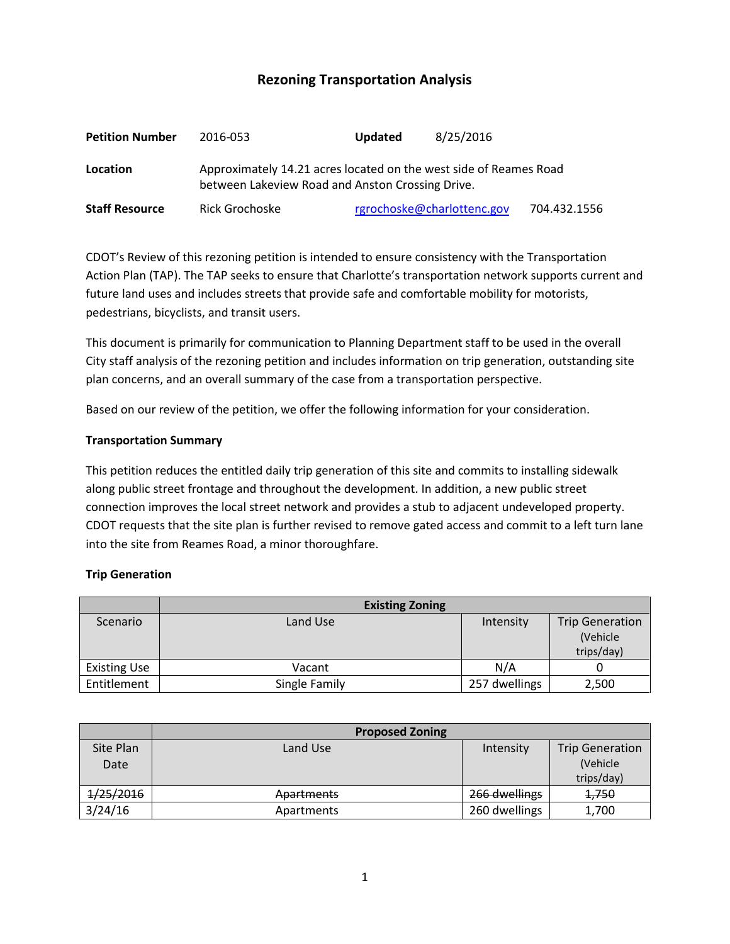# **Rezoning Transportation Analysis**

| <b>Petition Number</b> | 2016-053                                                                                                              | Updated | 8/25/2016                  |              |  |  |
|------------------------|-----------------------------------------------------------------------------------------------------------------------|---------|----------------------------|--------------|--|--|
| Location               | Approximately 14.21 acres located on the west side of Reames Road<br>between Lakeview Road and Anston Crossing Drive. |         |                            |              |  |  |
| <b>Staff Resource</b>  | Rick Grochoske                                                                                                        |         | rgrochoske@charlottenc.gov | 704.432.1556 |  |  |

CDOT's Review of this rezoning petition is intended to ensure consistency with the Transportation Action Plan (TAP). The TAP seeks to ensure that Charlotte's transportation network supports current and future land uses and includes streets that provide safe and comfortable mobility for motorists, pedestrians, bicyclists, and transit users.

This document is primarily for communication to Planning Department staff to be used in the overall City staff analysis of the rezoning petition and includes information on trip generation, outstanding site plan concerns, and an overall summary of the case from a transportation perspective.

Based on our review of the petition, we offer the following information for your consideration.

#### **Transportation Summary**

This petition reduces the entitled daily trip generation of this site and commits to installing sidewalk along public street frontage and throughout the development. In addition, a new public street connection improves the local street network and provides a stub to adjacent undeveloped property. CDOT requests that the site plan is further revised to remove gated access and commit to a left turn lane into the site from Reames Road, a minor thoroughfare.

## **Trip Generation**

|                     | <b>Existing Zoning</b> |               |                                                  |
|---------------------|------------------------|---------------|--------------------------------------------------|
| Scenario            | Land Use               | Intensity     | <b>Trip Generation</b><br>(Vehicle<br>trips/day) |
| <b>Existing Use</b> | Vacant                 | N/A           |                                                  |
| Entitlement         | Single Family          | 257 dwellings | 2,500                                            |

|                   | <b>Proposed Zoning</b> |               |                                                  |
|-------------------|------------------------|---------------|--------------------------------------------------|
| Site Plan<br>Date | Land Use               | Intensity     | <b>Trip Generation</b><br>(Vehicle<br>trips/day) |
| 1/25/2016         | <b>Apartments</b>      | 266 dwellings | <del>1,750</del>                                 |
| 3/24/16           | Apartments             | 260 dwellings | 1,700                                            |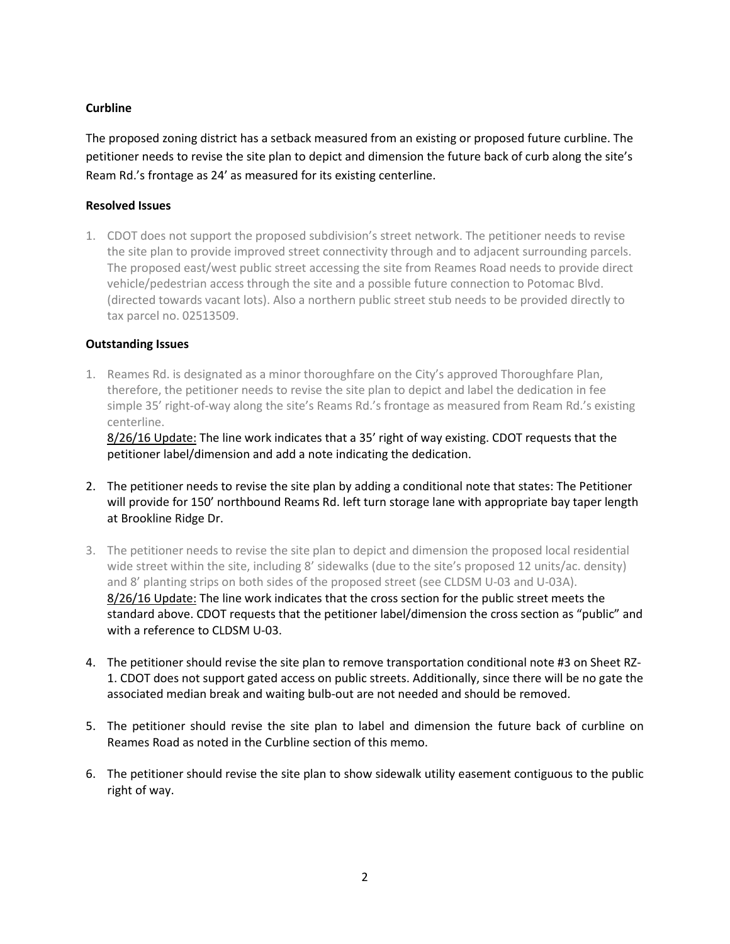## **Curbline**

The proposed zoning district has a setback measured from an existing or proposed future curbline. The petitioner needs to revise the site plan to depict and dimension the future back of curb along the site's Ream Rd.'s frontage as 24' as measured for its existing centerline.

## **Resolved Issues**

1. CDOT does not support the proposed subdivision's street network. The petitioner needs to revise the site plan to provide improved street connectivity through and to adjacent surrounding parcels. The proposed east/west public street accessing the site from Reames Road needs to provide direct vehicle/pedestrian access through the site and a possible future connection to Potomac Blvd. (directed towards vacant lots). Also a northern public street stub needs to be provided directly to tax parcel no. 02513509.

## **Outstanding Issues**

1. Reames Rd. is designated as a minor thoroughfare on the City's approved Thoroughfare Plan, therefore, the petitioner needs to revise the site plan to depict and label the dedication in fee simple 35' right-of-way along the site's Reams Rd.'s frontage as measured from Ream Rd.'s existing centerline.

8/26/16 Update: The line work indicates that a 35' right of way existing. CDOT requests that the petitioner label/dimension and add a note indicating the dedication.

- 2. The petitioner needs to revise the site plan by adding a conditional note that states: The Petitioner will provide for 150' northbound Reams Rd. left turn storage lane with appropriate bay taper length at Brookline Ridge Dr.
- 3. The petitioner needs to revise the site plan to depict and dimension the proposed local residential wide street within the site, including 8' sidewalks (due to the site's proposed 12 units/ac. density) and 8' planting strips on both sides of the proposed street (see CLDSM U-03 and U-03A). 8/26/16 Update: The line work indicates that the cross section for the public street meets the standard above. CDOT requests that the petitioner label/dimension the cross section as "public" and with a reference to CLDSM U-03.
- 4. The petitioner should revise the site plan to remove transportation conditional note #3 on Sheet RZ-1. CDOT does not support gated access on public streets. Additionally, since there will be no gate the associated median break and waiting bulb-out are not needed and should be removed.
- 5. The petitioner should revise the site plan to label and dimension the future back of curbline on Reames Road as noted in the Curbline section of this memo.
- 6. The petitioner should revise the site plan to show sidewalk utility easement contiguous to the public right of way.